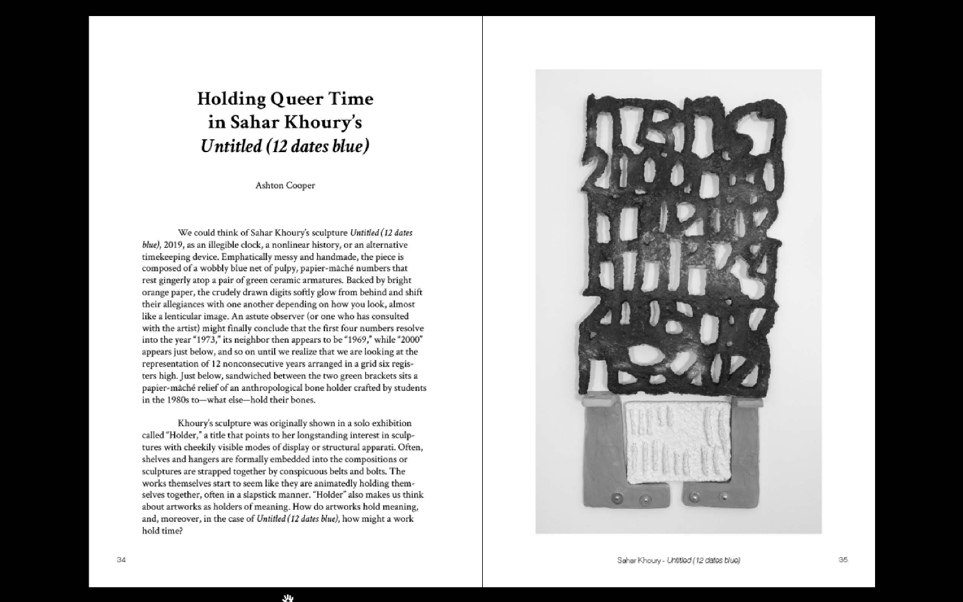## **Holding Queer Time** in Sahar Khoury's Untitled (12 dates blue)

Ashton Cooper

We could think of Sahar Khoury's sculpture Untitled (12 dates blue), 2019, as an illegible clock, a nonlinear history, or an alternative timekeeping device. Emphatically messy and handmade, the piece is composed of a wobbly blue net of pulpy, papier-mâché numbers that rest gingerly atop a pair of green ceramic armatures. Backed by bright orange paper, the crudely drawn digits softly glow from behind and shift their allegiances with one another depending on how you look, almost like a lenticular image. An astute observer (or one who has consulted with the artist) might finally conclude that the first four numbers resolve into the year "1973," its neighbor then appears to be "1969," while "2000" appears just below, and so on until we realize that we are looking at the representation of 12 nonconsecutive years arranged in a grid six registers high. Just below, sandwiched between the two green brackets sits a papier-mâché relief of an anthropological bone holder crafted by students in the 1980s to-what else-hold their bones.

Khoury's sculpture was originally shown in a solo exhibition called "Holder," a title that points to her longstanding interest in sculptures with cheekily visible modes of display or structural apparati. Often, shelves and hangers are formally embedded into the compositions or sculptures are strapped together by conspicuous belts and bolts. The works themselves start to seem like they are animatedly holding themselves together, often in a slapstick manner. "Holder" also makes us think about artworks as holders of meaning. How do artworks hold meaning, and, moreover, in the case of Untitled (12 dates blue), how might a work hold time?